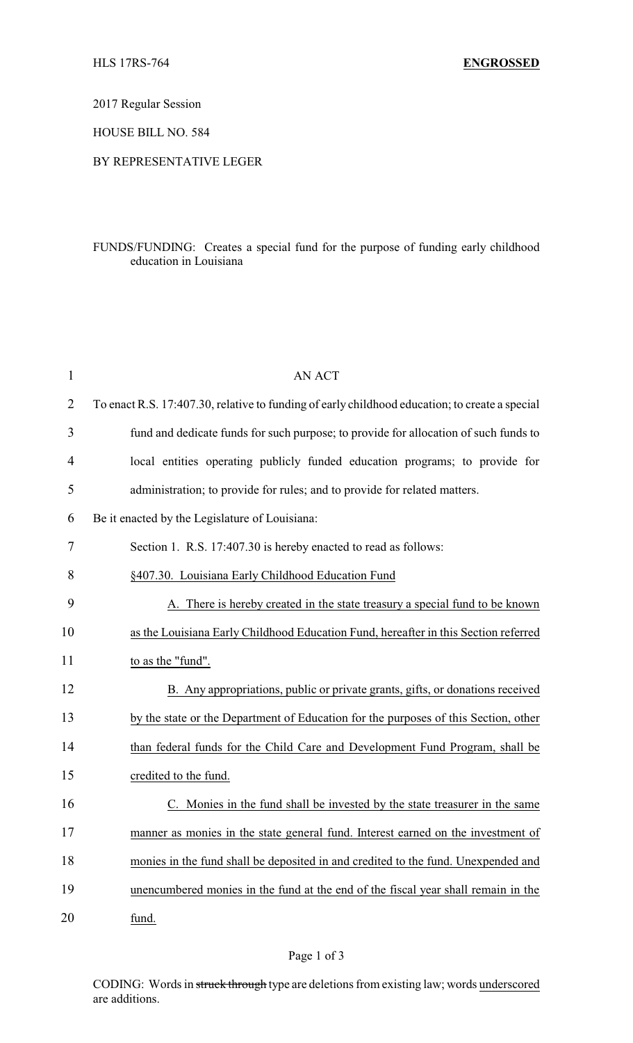2017 Regular Session

HOUSE BILL NO. 584

### BY REPRESENTATIVE LEGER

## FUNDS/FUNDING: Creates a special fund for the purpose of funding early childhood education in Louisiana

| $\mathbf{1}$   | <b>AN ACT</b>                                                                                  |
|----------------|------------------------------------------------------------------------------------------------|
| $\overline{2}$ | To enact R.S. 17:407.30, relative to funding of early childhood education; to create a special |
| 3              | fund and dedicate funds for such purpose; to provide for allocation of such funds to           |
| 4              | local entities operating publicly funded education programs; to provide for                    |
| 5              | administration; to provide for rules; and to provide for related matters.                      |
| 6              | Be it enacted by the Legislature of Louisiana:                                                 |
| 7              | Section 1. R.S. 17:407.30 is hereby enacted to read as follows:                                |
| 8              | §407.30. Louisiana Early Childhood Education Fund                                              |
| 9              | A. There is hereby created in the state treasury a special fund to be known                    |
| 10             | as the Louisiana Early Childhood Education Fund, hereafter in this Section referred            |
| 11             | to as the "fund".                                                                              |
| 12             | B. Any appropriations, public or private grants, gifts, or donations received                  |
| 13             | by the state or the Department of Education for the purposes of this Section, other            |
| 14             | than federal funds for the Child Care and Development Fund Program, shall be                   |
| 15             | credited to the fund.                                                                          |
| 16             | Monies in the fund shall be invested by the state treasurer in the same                        |
| 17             | manner as monies in the state general fund. Interest earned on the investment of               |
| 18             | monies in the fund shall be deposited in and credited to the fund. Unexpended and              |
| 19             | unencumbered monies in the fund at the end of the fiscal year shall remain in the              |
| 20             | fund.                                                                                          |

CODING: Words in struck through type are deletions from existing law; words underscored are additions.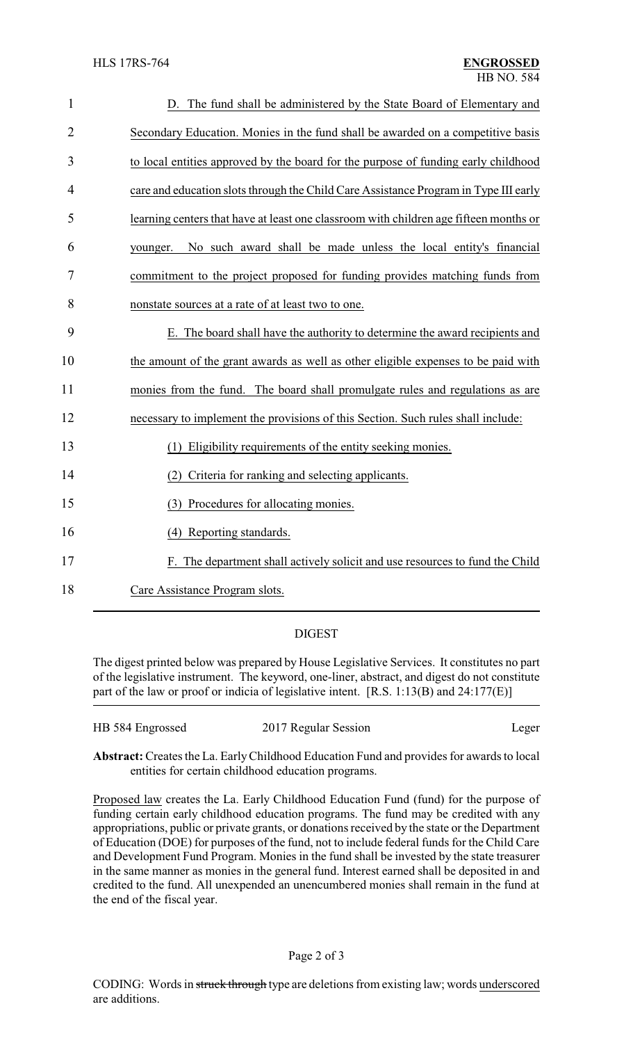| $\mathbf{1}$   | D. The fund shall be administered by the State Board of Elementary and                |
|----------------|---------------------------------------------------------------------------------------|
| $\overline{2}$ | Secondary Education. Monies in the fund shall be awarded on a competitive basis       |
| 3              | to local entities approved by the board for the purpose of funding early childhood    |
| 4              | care and education slots through the Child Care Assistance Program in Type III early  |
| 5              | learning centers that have at least one classroom with children age fifteen months or |
| 6              | No such award shall be made unless the local entity's financial<br>younger.           |
| 7              | commitment to the project proposed for funding provides matching funds from           |
| 8              | nonstate sources at a rate of at least two to one.                                    |
| 9              | E. The board shall have the authority to determine the award recipients and           |
| 10             | the amount of the grant awards as well as other eligible expenses to be paid with     |
| 11             | monies from the fund. The board shall promulgate rules and regulations as are         |
| 12             | necessary to implement the provisions of this Section. Such rules shall include:      |
| 13             | (1) Eligibility requirements of the entity seeking monies.                            |
| 14             | (2) Criteria for ranking and selecting applicants.                                    |
| 15             | (3) Procedures for allocating monies.                                                 |
| 16             | (4) Reporting standards.                                                              |
| 17             | F. The department shall actively solicit and use resources to fund the Child          |
| 18             | Care Assistance Program slots.                                                        |

# DIGEST

The digest printed below was prepared by House Legislative Services. It constitutes no part of the legislative instrument. The keyword, one-liner, abstract, and digest do not constitute part of the law or proof or indicia of legislative intent. [R.S. 1:13(B) and 24:177(E)]

| HB 584 Engrossed | 2017 Regular Session | Leger |
|------------------|----------------------|-------|
|                  |                      |       |

**Abstract:**Creates the La. EarlyChildhood Education Fund and provides for awards to local entities for certain childhood education programs.

Proposed law creates the La. Early Childhood Education Fund (fund) for the purpose of funding certain early childhood education programs. The fund may be credited with any appropriations, public or private grants, or donations received by the state or the Department of Education (DOE) for purposes of the fund, not to include federal funds for the Child Care and Development Fund Program. Monies in the fund shall be invested by the state treasurer in the same manner as monies in the general fund. Interest earned shall be deposited in and credited to the fund. All unexpended an unencumbered monies shall remain in the fund at the end of the fiscal year.